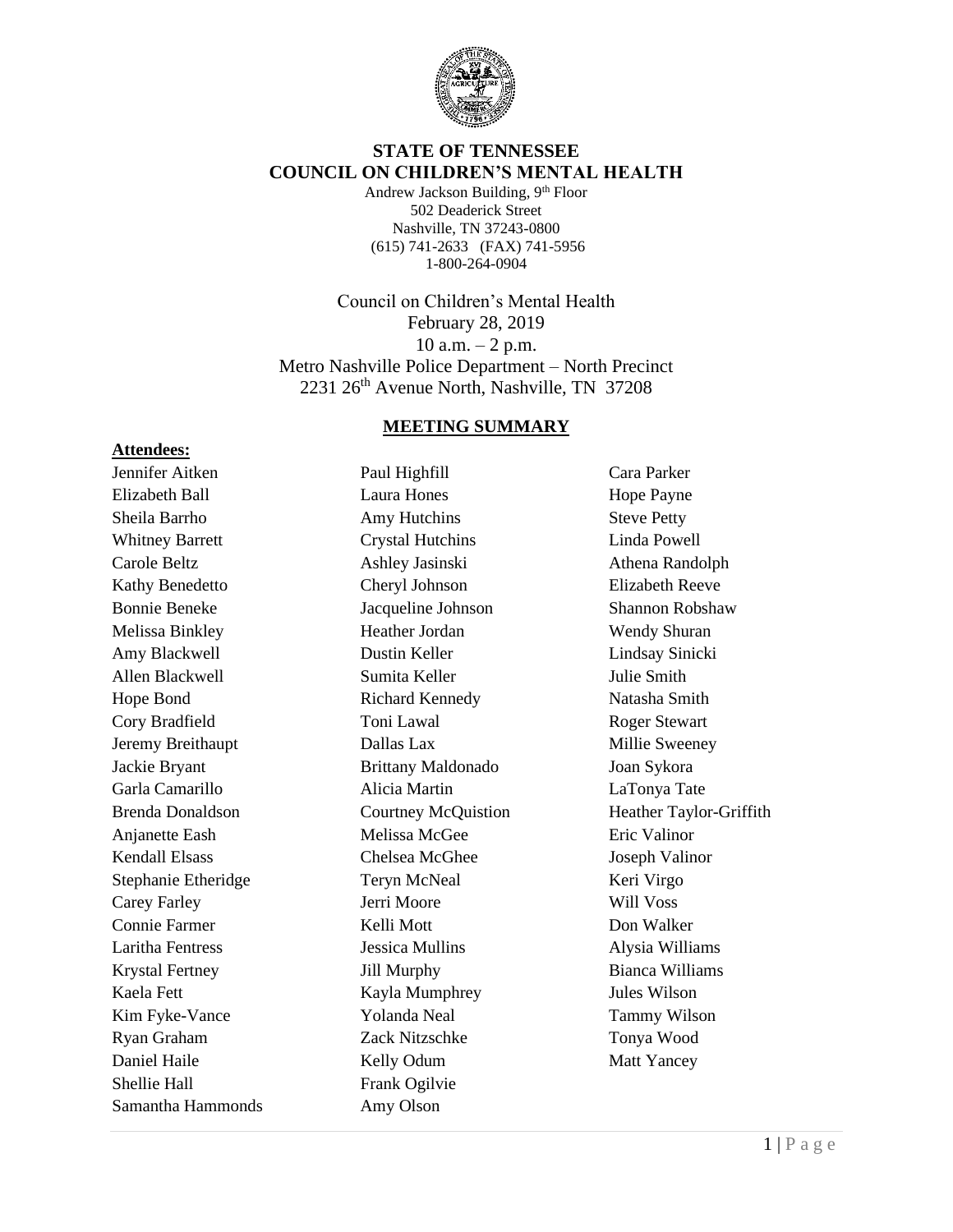

### **STATE OF TENNESSEE COUNCIL ON CHILDREN'S MENTAL HEALTH**

Andrew Jackson Building, 9<sup>th</sup> Floor 502 Deaderick Street Nashville, TN 37243-0800 (615) 741-2633 (FAX) 741-5956 1-800-264-0904

Council on Children's Mental Health February 28, 2019 10 a.m.  $-2$  p.m. Metro Nashville Police Department – North Precinct 2231 26<sup>th</sup> Avenue North, Nashville, TN 37208

#### **MEETING SUMMARY**

### **Attendees:**

Jennifer Aitken Elizabeth Ball Sheila Barrho Whitney Barrett Carole Beltz Kathy Benedetto Bonnie Beneke Melissa Binkley Amy Blackwell Allen Blackwell Hope Bond Cory Bradfield Jeremy Breithaupt Jackie Bryant Garla Camarillo Brenda Donaldson Anjanette Eash Kendall Elsass Stephanie Etheridge Carey Farley Connie Farmer Laritha Fentress Krystal Fertney Kaela Fett Kim Fyke-Vance Ryan Graham Daniel Haile Shellie Hall Samantha Hammonds

Paul Highfill Laura Hones Amy Hutchins Crystal Hutchins Ashley Jasinski Cheryl Johnson Jacqueline Johnson Heather Jordan Dustin Keller Sumita Keller Richard Kennedy Toni Lawal Dallas Lax Brittany Maldonado Alicia Martin Courtney McQuistion Melissa McGee Chelsea McGhee Teryn McNeal Jerri Moore Kelli Mott Jessica Mullins Jill Murphy Kayla Mumphrey Yolanda Neal Zack Nitzschke Kelly Odum Frank Ogilvie Amy Olson

Cara Parker Hope Payne Steve Petty Linda Powell Athena Randolph Elizabeth Reeve Shannon Robshaw Wendy Shuran Lindsay Sinicki Julie Smith Natasha Smith Roger Stewart Millie Sweeney Joan Sykora LaTonya Tate Heather Taylor-Griffith Eric Valinor Joseph Valinor Keri Virgo Will Voss Don Walker Alysia Williams Bianca Williams Jules Wilson Tammy Wilson Tonya Wood Matt Yancey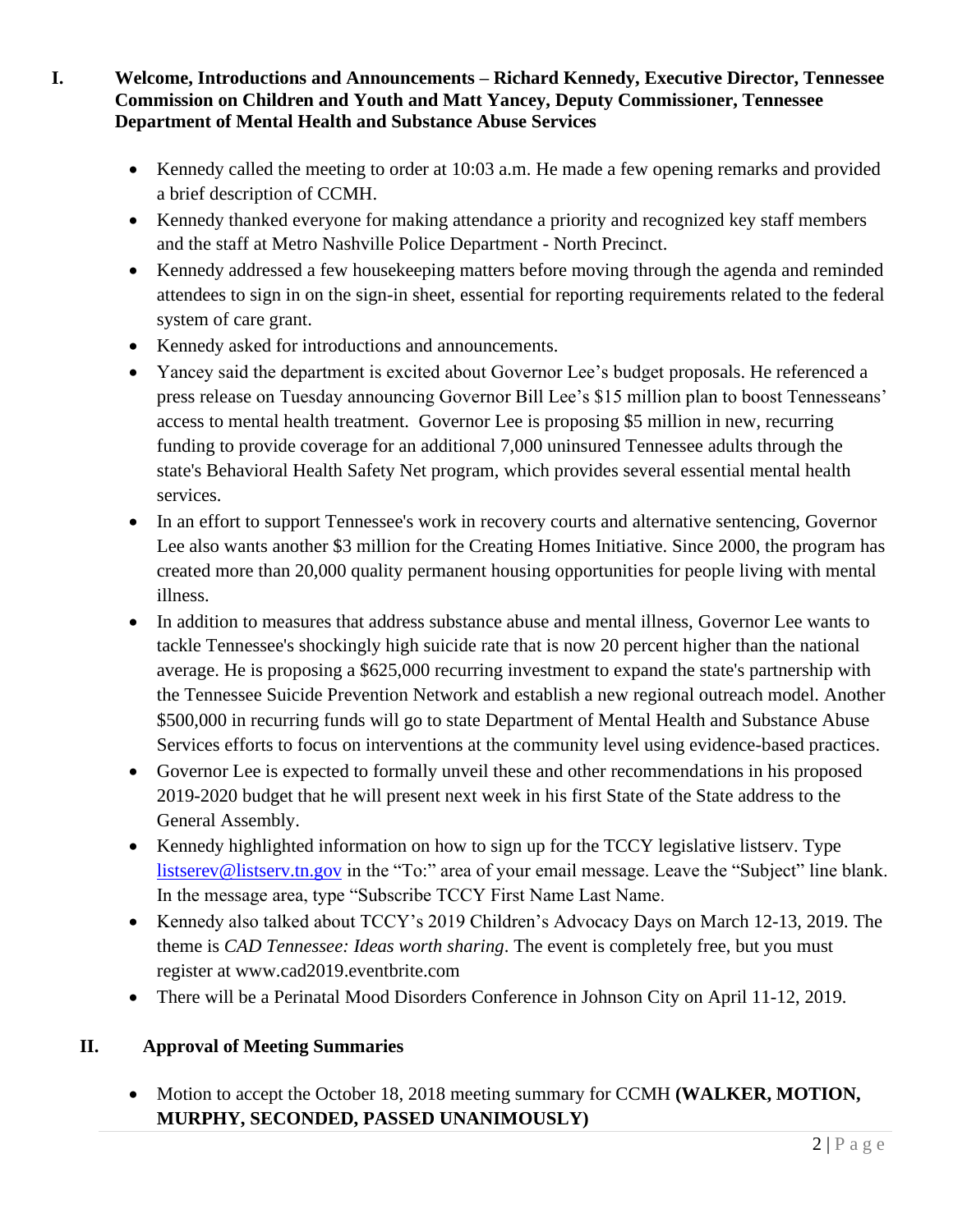- **I. Welcome, Introductions and Announcements – Richard Kennedy, Executive Director, Tennessee Commission on Children and Youth and Matt Yancey, Deputy Commissioner, Tennessee Department of Mental Health and Substance Abuse Services**
	- Kennedy called the meeting to order at 10:03 a.m. He made a few opening remarks and provided a brief description of CCMH.
	- Kennedy thanked everyone for making attendance a priority and recognized key staff members and the staff at Metro Nashville Police Department - North Precinct.
	- Kennedy addressed a few house keeping matters before moving through the agenda and reminded attendees to sign in on the sign-in sheet, essential for reporting requirements related to the federal system of care grant.
	- Kennedy asked for introductions and announcements.
	- Yancey said the department is excited about Governor Lee's budget proposals. He referenced a press release on Tuesday announcing Governor Bill Lee's \$15 million plan to boost Tennesseans' access to mental health treatment. Governor Lee is proposing \$5 million in new, recurring funding to provide coverage for an additional 7,000 uninsured Tennessee adults through the state's Behavioral Health Safety Net program, which provides several essential mental health services.
	- In an effort to support Tennessee's work in recovery courts and alternative sentencing, Governor Lee also wants another \$3 million for the Creating Homes Initiative. Since 2000, the program has created more than 20,000 quality permanent housing opportunities for people living with mental illness.
	- In addition to measures that address substance abuse and mental illness, Governor Lee wants to tackle Tennessee's shockingly high suicide rate that is now 20 percent higher than the national average. He is proposing a \$625,000 recurring investment to expand the state's partnership with the Tennessee Suicide Prevention Network and establish a new regional outreach model. Another \$500,000 in recurring funds will go to state Department of Mental Health and Substance Abuse Services efforts to focus on interventions at the community level using evidence-based practices.
	- Governor Lee is expected to formally unveil these and other recommendations in his proposed 2019-2020 budget that he will present next week in his first State of the State address to the General Assembly.
	- Kennedy highlighted information on how to sign up for the TCCY legislative listserv. Type [listserev@listserv.tn.gov](mailto:listserev@listserv.tn.gov) in the "To:" area of your email message. Leave the "Subject" line blank. In the message area, type "Subscribe TCCY First Name Last Name.
	- Kennedy also talked about TCCY's 2019 Children's Advocacy Days on March 12-13, 2019. The theme is *CAD Tennessee: Ideas worth sharing*. The event is completely free, but you must register at www.cad2019.eventbrite.com
	- There will be a Perinatal Mood Disorders Conference in Johnson City on April 11-12, 2019.

# **II. Approval of Meeting Summaries**

• Motion to accept the October 18, 2018 meeting summary for CCMH **(WALKER, MOTION, MURPHY, SECONDED, PASSED UNANIMOUSLY)**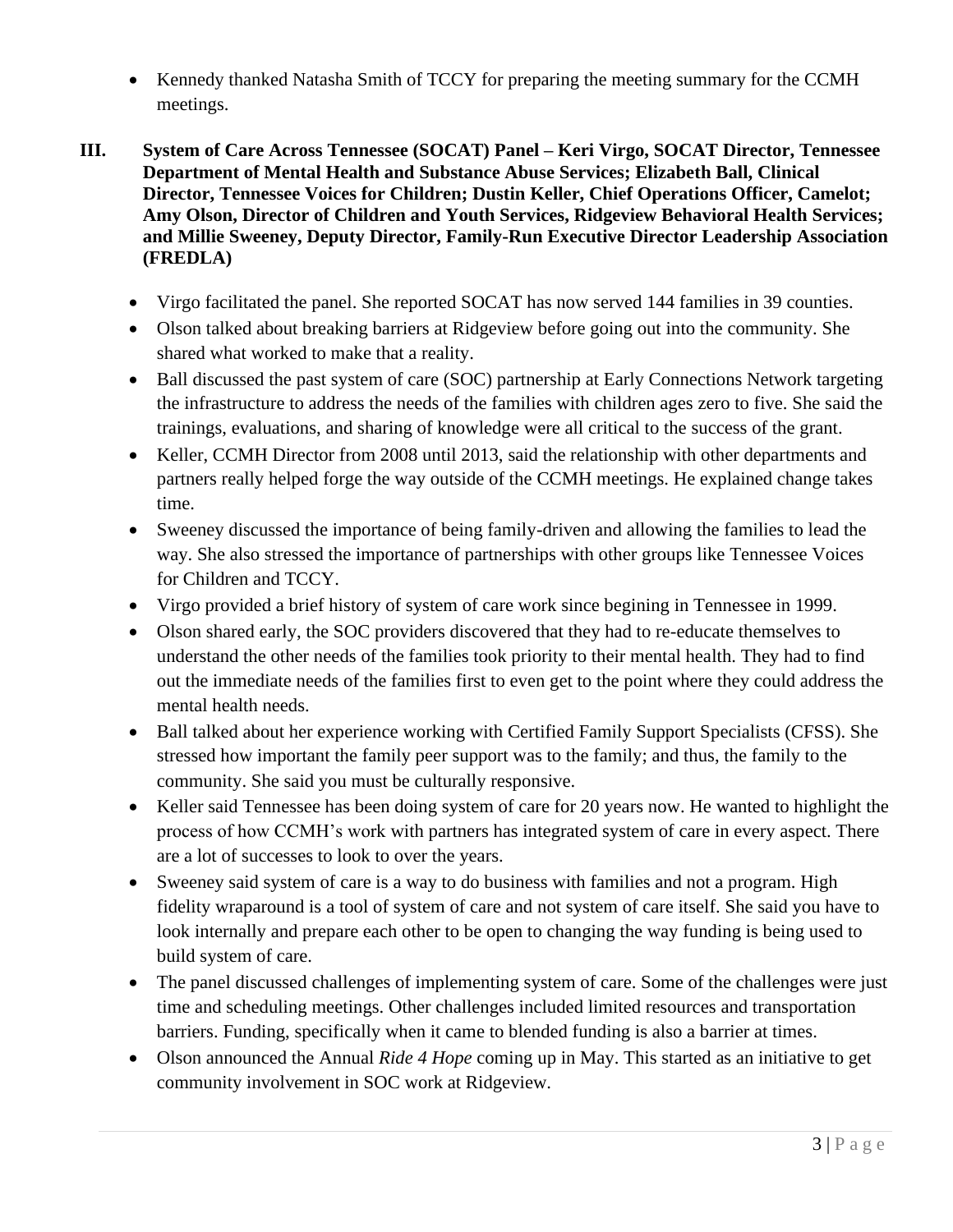- Kennedy thanked Natasha Smith of TCCY for preparing the meeting summary for the CCMH meetings.
- **III. System of Care Across Tennessee (SOCAT) Panel – Keri Virgo, SOCAT Director, Tennessee Department of Mental Health and Substance Abuse Services; Elizabeth Ball, Clinical Director, Tennessee Voices for Children; Dustin Keller, Chief Operations Officer, Camelot; Amy Olson, Director of Children and Youth Services, Ridgeview Behavioral Health Services; and Millie Sweeney, Deputy Director, Family-Run Executive Director Leadership Association (FREDLA)**
	- Virgo facilitated the panel. She reported SOCAT has now served 144 families in 39 counties.
	- Olson talked about breaking barriers at Ridgeview before going out into the community. She shared what worked to make that a reality.
	- Ball discussed the past system of care (SOC) partnership at Early Connections Network targeting the infrastructure to address the needs of the families with children ages zero to five. She said the trainings, evaluations, and sharing of knowledge were all critical to the success of the grant.
	- Keller, CCMH Director from 2008 until 2013, said the relationship with other departments and partners really helped forge the way outside of the CCMH meetings. He explained change takes time.
	- Sweeney discussed the importance of being family-driven and allowing the families to lead the way. She also stressed the importance of partnerships with other groups like Tennessee Voices for Children and TCCY.
	- Virgo provided a brief history of system of care work since begining in Tennessee in 1999.
	- Olson shared early, the SOC providers discovered that they had to re-educate themselves to understand the other needs of the families took priority to their mental health. They had to find out the immediate needs of the families first to even get to the point where they could address the mental health needs.
	- Ball talked about her experience working with Certified Family Support Specialists (CFSS). She stressed how important the family peer support was to the family; and thus, the family to the community. She said you must be culturally responsive.
	- Keller said Tennessee has been doing system of care for 20 years now. He wanted to highlight the process of how CCMH's work with partners has integrated system of care in every aspect. There are a lot of successes to look to over the years.
	- Sweeney said system of care is a way to do business with families and not a program. High fidelity wraparound is a tool of system of care and not system of care itself. She said you have to look internally and prepare each other to be open to changing the way funding is being used to build system of care.
	- The panel discussed challenges of implementing system of care. Some of the challenges were just time and scheduling meetings. Other challenges included limited resources and transportation barriers. Funding, specifically when it came to blended funding is also a barrier at times.
	- Olson announced the Annual *Ride 4 Hope* coming up in May. This started as an initiative to get community involvement in SOC work at Ridgeview.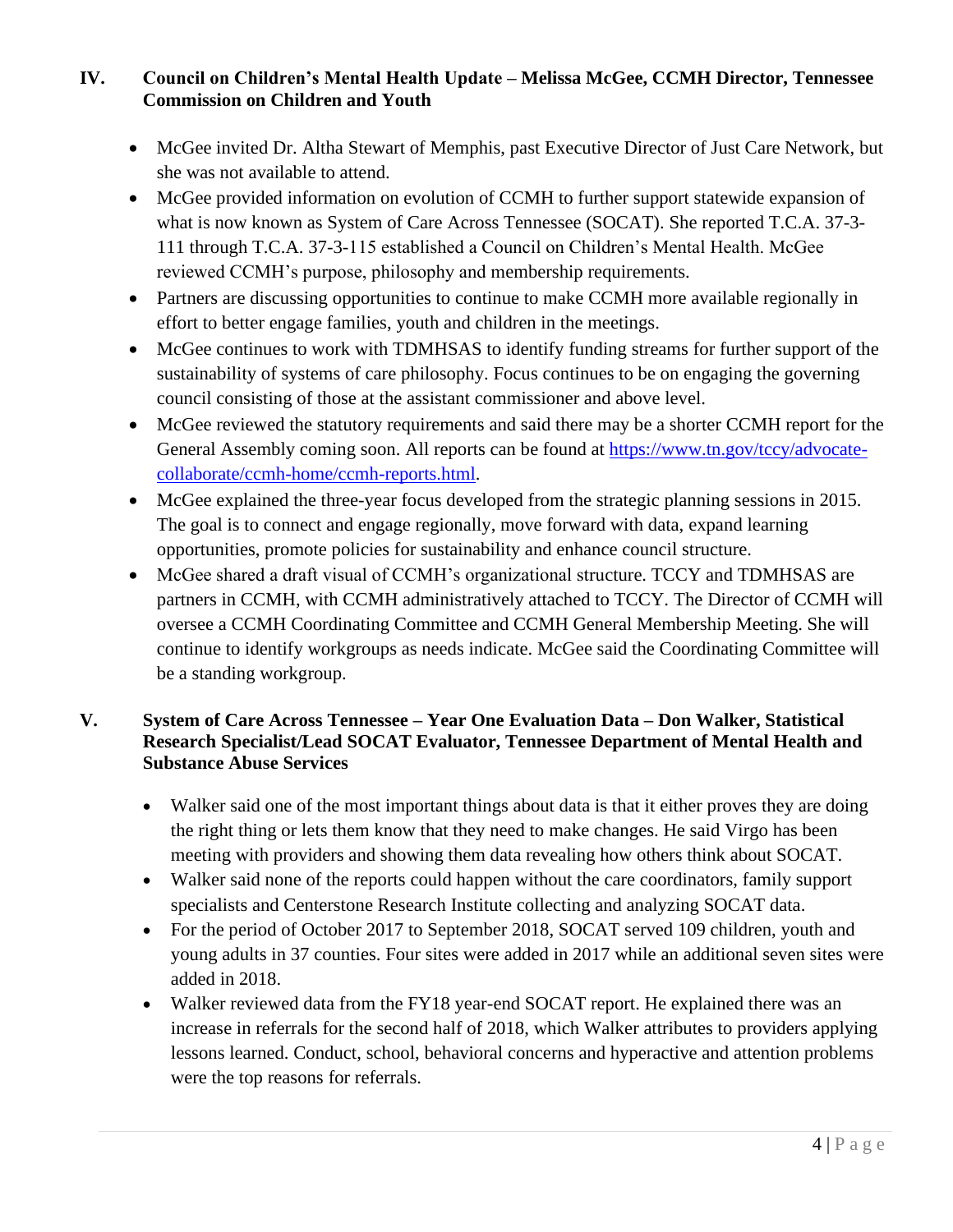## **IV. Council on Children's Mental Health Update – Melissa McGee, CCMH Director, Tennessee Commission on Children and Youth**

- McGee invited Dr. Altha Stewart of Memphis, past Executive Director of Just Care Network, but she was not available to attend.
- McGee provided information on evolution of CCMH to further support statewide expansion of what is now known as System of Care Across Tennessee (SOCAT). She reported T.C.A. 37-3- 111 through T.C.A. 37-3-115 established a Council on Children's Mental Health. McGee reviewed CCMH's purpose, philosophy and membership requirements.
- Partners are discussing opportunities to continue to make CCMH more available regionally in effort to better engage families, youth and children in the meetings.
- McGee continues to work with TDMHSAS to identify funding streams for further support of the sustainability of systems of care philosophy. Focus continues to be on engaging the governing council consisting of those at the assistant commissioner and above level.
- McGee reviewed the statutory requirements and said there may be a shorter CCMH report for the General Assembly coming soon. All reports can be found at [https://www.tn.gov/tccy/advocate](https://www.tn.gov/tccy/advocate-collaborate/ccmh-home/ccmh-reports.html)[collaborate/ccmh-home/ccmh-reports.html.](https://www.tn.gov/tccy/advocate-collaborate/ccmh-home/ccmh-reports.html)
- McGee explained the three-year focus developed from the strategic planning sessions in 2015. The goal is to connect and engage regionally, move forward with data, expand learning opportunities, promote policies for sustainability and enhance council structure.
- McGee shared a draft visual of CCMH's organizational structure. TCCY and TDMHSAS are partners in CCMH, with CCMH administratively attached to TCCY. The Director of CCMH will oversee a CCMH Coordinating Committee and CCMH General Membership Meeting. She will continue to identify workgroups as needs indicate. McGee said the Coordinating Committee will be a standing workgroup.

## **V. System of Care Across Tennessee – Year One Evaluation Data – Don Walker, Statistical Research Specialist/Lead SOCAT Evaluator, Tennessee Department of Mental Health and Substance Abuse Services**

- Walker said one of the most important things about data is that it either proves they are doing the right thing or lets them know that they need to make changes. He said Virgo has been meeting with providers and showing them data revealing how others think about SOCAT.
- Walker said none of the reports could happen without the care coordinators, family support specialists and Centerstone Research Institute collecting and analyzing SOCAT data.
- For the period of October 2017 to September 2018, SOCAT served 109 children, youth and young adults in 37 counties. Four sites were added in 2017 while an additional seven sites were added in 2018.
- Walker reviewed data from the FY18 year-end SOCAT report. He explained there was an increase in referrals for the second half of 2018, which Walker attributes to providers applying lessons learned. Conduct, school, behavioral concerns and hyperactive and attention problems were the top reasons for referrals.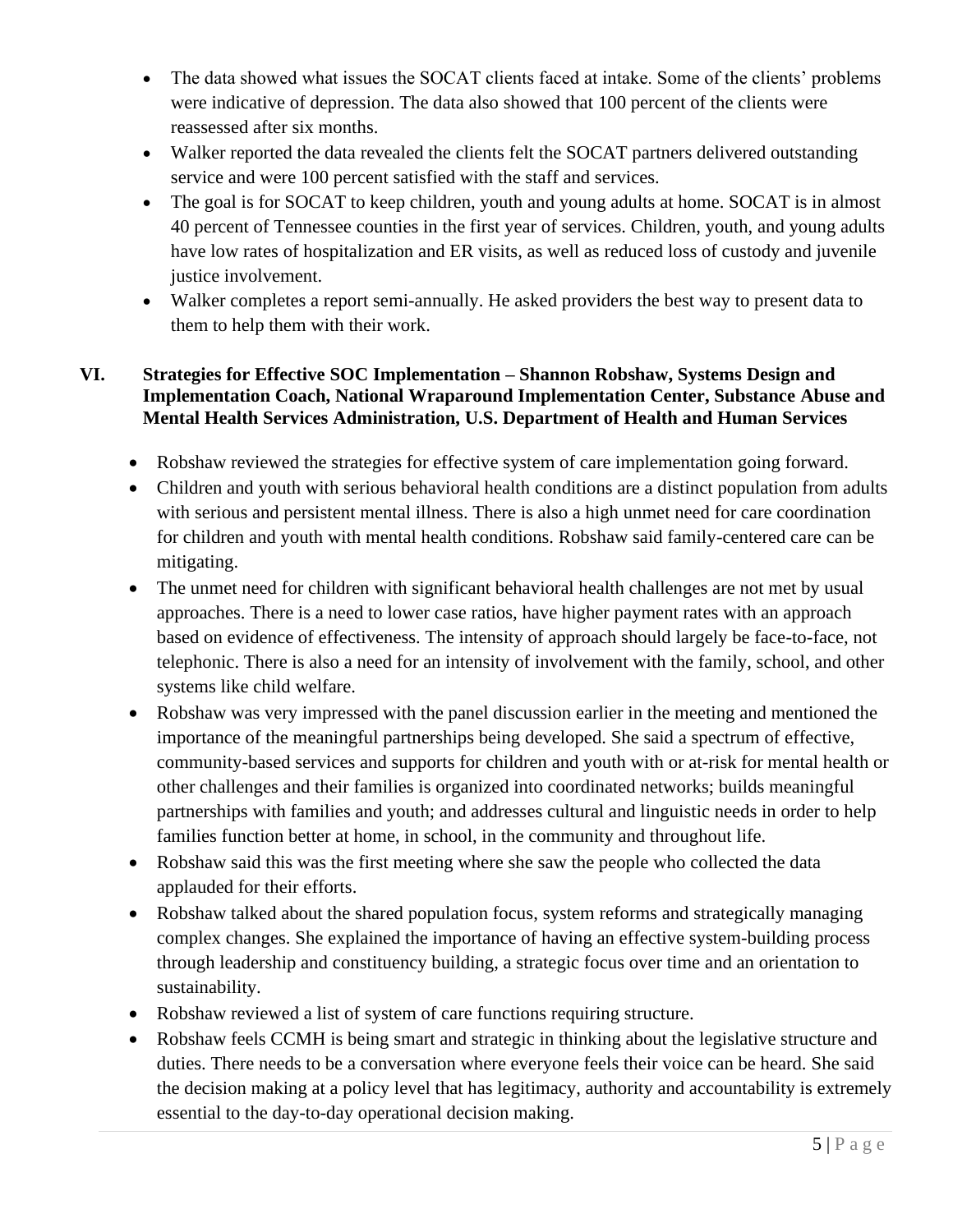- The data showed what issues the SOCAT clients faced at intake. Some of the clients' problems were indicative of depression. The data also showed that 100 percent of the clients were reassessed after six months.
- Walker reported the data revealed the clients felt the SOCAT partners delivered outstanding service and were 100 percent satisfied with the staff and services.
- The goal is for SOCAT to keep children, youth and young adults at home. SOCAT is in almost 40 percent of Tennessee counties in the first year of services. Children, youth, and young adults have low rates of hospitalization and ER visits, as well as reduced loss of custody and juvenile justice involvement.
- Walker completes a report semi-annually. He asked providers the best way to present data to them to help them with their work.

### **VI. Strategies for Effective SOC Implementation – Shannon Robshaw, Systems Design and Implementation Coach, National Wraparound Implementation Center, Substance Abuse and Mental Health Services Administration, U.S. Department of Health and Human Services**

- Robshaw reviewed the strategies for effective system of care implementation going forward.
- Children and youth with serious behavioral health conditions are a distinct population from adults with serious and persistent mental illness. There is also a high unmet need for care coordination for children and youth with mental health conditions. Robshaw said family-centered care can be mitigating.
- The unmet need for children with significant behavioral health challenges are not met by usual approaches. There is a need to lower case ratios, have higher payment rates with an approach based on evidence of effectiveness. The intensity of approach should largely be face-to-face, not telephonic. There is also a need for an intensity of involvement with the family, school, and other systems like child welfare.
- Robshaw was very impressed with the panel discussion earlier in the meeting and mentioned the importance of the meaningful partnerships being developed. She said a spectrum of effective, community-based services and supports for children and youth with or at-risk for mental health or other challenges and their families is organized into coordinated networks; builds meaningful partnerships with families and youth; and addresses cultural and linguistic needs in order to help families function better at home, in school, in the community and throughout life.
- Robshaw said this was the first meeting where she saw the people who collected the data applauded for their efforts.
- Robshaw talked about the shared population focus, system reforms and strategically managing complex changes. She explained the importance of having an effective system-building process through leadership and constituency building, a strategic focus over time and an orientation to sustainability.
- Robshaw reviewed a list of system of care functions requiring structure.
- Robshaw feels CCMH is being smart and strategic in thinking about the legislative structure and duties. There needs to be a conversation where everyone feels their voice can be heard. She said the decision making at a policy level that has legitimacy, authority and accountability is extremely essential to the day-to-day operational decision making.